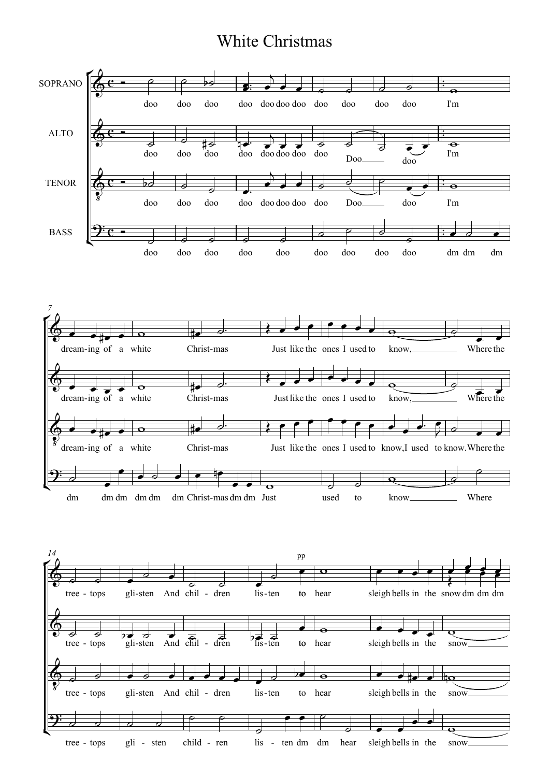## White Christmas